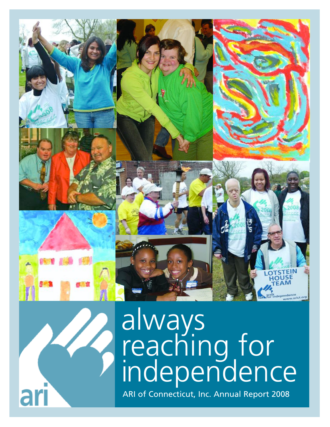



# always reaching for independence ARI of Connecticut, Inc. Annual Report 2008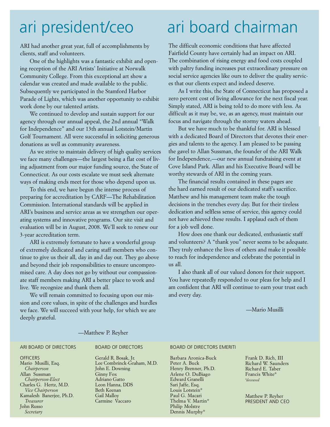ARI had another great year, full of accomplishments by clients, staff and volunteers.

One of the highlights was a fantastic exhibit and opening reception of the ARI Artists' Initiative at Norwalk Community College. From this exceptional art show a calendar was created and made available to the public. Subsequently we participated in the Stamford Harbor Parade of Lights, which was another opportunity to exhibit work done by our talented artists.

We continued to develop and sustain support for our agency through our annual appeal, the 2nd annual "Walk for Independence" and our 13th annual Lotstein/Martin Golf Tournament. All were successful in soliciting generous donations as well as community awareness.

As we strive to maintain delivery of high quality services we face many challenges—the largest being a flat cost of living adjustment from our major funding source, the State of Connecticut. As our costs escalate we must seek alternate ways of making ends meet for those who depend upon us.

To this end, we have begun the intense process of preparing for accreditation by CARF—The Rehabilitation Commission. International standards will be applied in ARI's business and service areas as we strengthen our operating systems and innovative programs. Our site visit and evaluation will be in August, 2008. We'll seek to renew our 3-year accreditation term.

ARI is extremely fortunate to have a wonderful group of extremely dedicated and caring staff members who continue to give us their all, day in and day out. They go above and beyond their job responsibilities to ensure uncompromised care. A day does not go by without our compassionate staff members making ARI a better place to work and live. We recognize and thank them all.

We will remain committed to focusing upon our mission and core values, in spite of the challenges and hurdles we face. We will succeed with your help, for which we are deeply grateful.

### ari president/ceo ari board chairman

The difficult economic conditions that have affected Fairfield County have certainly had an impact on ARI. The combination of rising energy and food costs coupled with paltry funding increases put extraordinary pressure on social service agencies like ours to deliver the quality services that our clients expect and indeed deserve.

As I write this, the State of Connecticut has proposed a zero percent cost of living allowance for the next fiscal year. Simply stated, ARI is being told to do more with less. As difficult as it may be, we, as an agency, must maintain our focus and navigate through the stormy waters ahead.

But we have much to be thankful for. ARI is blessed with a dedicated Board of Directors that devotes their energies and talents to the agency. I am pleased to be passing the gavel to Allan Sussman, the founder of the ARI Walk for Independence,—our new annual fundraising event at Cove Island Park. Allan and his Executive Board will be worthy stewards of ARI in the coming years.

The financial results contained in these pages are the hard earned result of our dedicated staff's sacrifice. Matthew and his management team make the tough decisions in the trenches every day. But for their tireless dedication and selfless sense of service, this agency could not have achieved these results. I applaud each of them for a job well done.

How does one thank our dedicated, enthusiastic staff and volunteers? A "thank you" never seems to be adequate. They truly enhance the lives of others and make it possible to reach for independence and celebrate the potential in us all.

I also thank all of our valued donors for their support. You have repeatedly responded to our pleas for help and I am confident that ARI will continue to earn your trust each and every day.

—Mario Musilli

#### —Matthew P. Reyher

#### ARI BOARD OF DIRECTORS

**OFFICERS** Mario Musilli, Esq. *Chairperson* Allan Sussman *Chairperson-Elect* Charles G. Hertz, M.D. *Vice Chairperson* Kamalesh Banerjee, Ph.D. *Treasurer* John Russo *Secretary*

BOARD OF DIRECTORS

Gerald R. Bosak, Jr. Lee Combrinck-Graham, M.D. John E. Downing Ginny Fox Adriano Gatto Leon Hanna, DDS Beth Keenan Gail Malloy Carmine Vaccaro

#### BOARD OF DIRECTORS EMERITI

Barbara Aronica-Buck Peter A. Buck Henry Brenner, Ph.D. Arlene O. DuBiago Edward Granelli Sari Jaffe, Esq. Louis Lotstein\* Paul G. Macari Thelma V. Martin\* Philip Molstre Dennis Murphy\*

Frank D. Rich, III Richard W. Saunders Richard E. Taber Francis White\* *\*deceased*

Matthew P. Reyher PRESIDENT AND CEO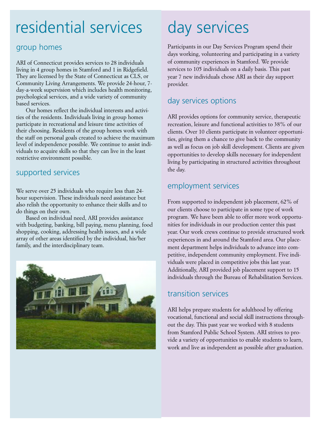### residential services day services

### group homes

ARI of Connecticut provides services to 28 individuals living in 4 group homes in Stamford and 1 in Ridgefield. They are licensed by the State of Connecticut as CLS, or Community Living Arrangements. We provide 24-hour, 7 day-a-week supervision which includes health monitoring, psychological services, and a wide variety of community based services.

Our homes reflect the individual interests and activities of the residents. Individuals living in group homes participate in recreational and leisure time activities of their choosing. Residents of the group homes work with the staff on personal goals created to achieve the maximum level of independence possible. We continue to assist individuals to acquire skills so that they can live in the least restrictive environment possible.

### supported services

We serve over 25 individuals who require less than 24 hour supervision. These individuals need assistance but also relish the opportunity to enhance their skills and to do things on their own.

Based on individual need, ARI provides assistance with budgeting, banking, bill paying, menu planning, food shopping, cooking, addressing health issues, and a wide array of other areas identified by the individual, his/her family, and the interdisciplinary team.



Participants in our Day Services Program spend their days working, volunteering and participating in a variety of community experiences in Stamford. We provide services to 105 individuals on a daily basis. This past year 7 new individuals chose ARI as their day support provider.

### day services options

ARI provides options for community service, therapeutic recreation, leisure and functional activities to 38% of our clients. Over 10 clients participate in volunteer opportunities, giving them a chance to give back to the community as well as focus on job skill development. Clients are given opportunities to develop skills necessary for independent living by participating in structured activities throughout the day.

### employment services

From supported to independent job placement, 62% of our clients choose to participate in some type of work program. We have been able to offer more work opportunities for individuals in our production center this past year. Our work crews continue to provide structured work experiences in and around the Stamford area. Our placement department helps individuals to advance into competitive, independent community employment. Five individuals were placed in competitive jobs this last year. Additionally, ARI provided job placement support to 15 individuals through the Bureau of Rehabilitation Services.

### transition services

ARI helps prepare students for adulthood by offering vocational, functional and social skill instructions throughout the day. This past year we worked with 8 students from Stamford Public School System. ARI strives to provide a variety of opportunities to enable students to learn, work and live as independent as possible after graduation.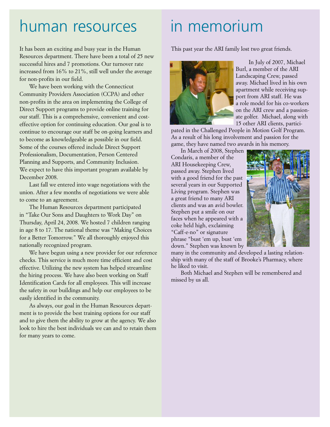### human resources

It has been an exciting and busy year in the Human Resources department. There have been a total of 25 new successful hires and 7 promotions. Our turnover rate increased from 16% to 21%, still well under the average for non-profits in our field.

We have been working with the Connecticut Community Providers Association (CCPA) and other non-profits in the area on implementing the College of Direct Support programs to provide online training for our staff. This is a comprehensive, convenient and costeffective option for continuing education. Our goal is to continue to encourage our staff be on-going learners and to become as knowledgeable as possible in our field. Some of the courses offered include Direct Support Professionalism, Documentation, Person Centered Planning and Supports, and Community Inclusion. We expect to have this important program available by December 2008.

Last fall we entered into wage negotiations with the union. After a few months of negotiations we were able to come to an agreement.

The Human Resources department participated in "Take Our Sons and Daughters to Work Day" on Thursday, April 24, 2008. We hosted 7 children ranging in age 8 to 17. The national theme was "Making Choices for a Better Tomorrow." We all thoroughly enjoyed this nationally recognized program.

We have begun using a new provider for our reference checks. This service is much more time efficient and cost effective. Utilizing the new system has helped streamline the hiring process. We have also been working on Staff Identification Cards for all employees. This will increase the safety in our buildings and help our employees to be easily identified in the community.

As always, our goal in the Human Resources department is to provide the best training options for our staff and to give them the ability to grow at the agency. We also look to hire the best individuals we can and to retain them for many years to come.

### in memorium

This past year the ARI family lost two great friends.



In July of 2007, Michael Burl, a member of the ARI Landscaping Crew, passed away. Michael lived in his own apartment while receiving support from ARI staff. He was a role model for his co-workers on the ARI crew and a passionate golfer. Michael, along with 15 other ARI clients, partici-

pated in the Challenged People in Motion Golf Program. As a result of his long involvement and passion for the game, they have named two awards in his memory.

In March of 2008, Stephen Condaris, a member of the ARI Housekeeping Crew, passed away. Stephen lived with a good friend for the past several years in our Supported Living program. Stephen was a great friend to many ARI clients and was an avid bowler. Stephen put a smile on our faces when he appeared with a coke held high, exclaiming "Caff-e-no" or signature phrase "bust 'em up, bust 'em down." Stephen was known by



many in the community and developed a lasting relationship with many of the staff of Brooke's Pharmacy, where he liked to visit.

Both Michael and Stephen will be remembered and missed by us all.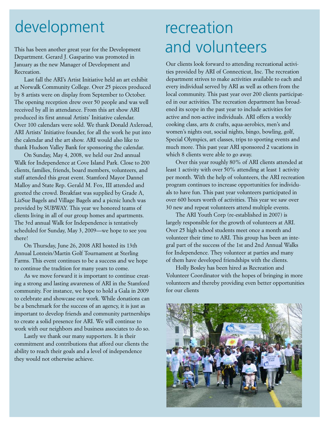### development recreation

This has been another great year for the Development Department. Gerard J. Gasparino was promoted in January as the new Manager of Development and Recreation.

Last fall the ARI's Artist Initiative held an art exhibit at Norwalk Community College. Over 25 pieces produced by 8 artists were on display from September to October. The opening reception drew over 50 people and was well received by all in attendance. From this art show ARI produced its first annual Artists' Initiative calendar. Over 100 calendars were sold. We thank Donald Axleroad, ARI Artists' Initiative founder, for all the work he put into the calendar and the art show. ARI would also like to thank Hudson Valley Bank for sponsoring the calendar.

On Sunday, May 4, 2008, we held our 2nd annual Walk for Independence at Cove Island Park. Close to 200 clients, families, friends, board members, volunteers, and staff attended this great event. Stamford Mayor Dannel Malloy and State Rep. Gerald M. Fox, III attended and greeted the crowd. Breakfast was supplied by Grade A, LizSue Bagels and Village Bagels and a picnic lunch was provided by SUBWAY. This year we honored teams of clients living in all of our group homes and apartments. The 3rd annual Walk for Independence is tentatively scheduled for Sunday, May 3, 2009—we hope to see you there!

On Thursday, June 26, 2008 ARI hosted its 13th Annual Lotstein/Martin Golf Tournament at Sterling Farms. This event continues to be a success and we hope to continue the tradition for many years to come.

As we move forward it is important to continue creating a strong and lasting awareness of ARI in the Stamford community. For instance, we hope to hold a Gala in 2009 to celebrate and showcase our work. While donations can be a benchmark for the success of an agency, it is just as important to develop friends and community partnerships to create a solid presence for ARI. We will continue to work with our neighbors and business associates to do so.

Lastly we thank our many supporters. It is their commitment and contributions that afford our clients the ability to reach their goals and a level of independence they would not otherwise achieve.

# and volunteers

Our clients look forward to attending recreational activities provided by ARI of Connecticut, Inc. The recreation department strives to make activities available to each and every individual served by ARI as well as others from the local community. This past year over 200 clients participated in our activities. The recreation department has broadened its scope in the past year to include activities for active and non-active individuals. ARI offers a weekly cooking class, arts & crafts, aqua-aerobics, men's and women's nights out, social nights, bingo, bowling, golf, Special Olympics, art classes, trips to sporting events and much more. This past year ARI sponsored 2 vacations in which 8 clients were able to go away.

Over this year roughly 80% of ARI clients attended at least 1 activity with over 50% attending at least 1 activity per month. With the help of volunteers, the ARI recreation program continues to increase opportunities for individuals to have fun. This past year volunteers participated in over 600 hours worth of activities. This year we saw over 30 new and repeat volunteers attend multiple events.

The ARI Youth Corp (re-established in 2007) is largely responsible for the growth of volunteers at ARI. Over 25 high school students meet once a month and volunteer their time to ARI. This group has been an integral part of the success of the 1st and 2nd Annual Walks for Independence. They volunteer at parties and many of them have developed friendships with the clients.

Holly Bosley has been hired as Recreation and Volunteer Coordinator with the hopes of bringing in more volunteers and thereby providing even better opportunities for our clients

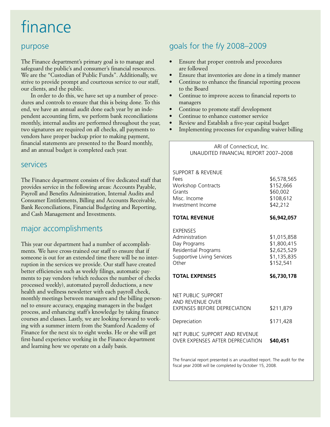## finance

### purpose

The Finance department's primary goal is to manage and safeguard the public's and consumer's financial resources. We are the "Custodian of Public Funds". Additionally, we strive to provide prompt and courteous service to our staff, our clients, and the public.

In order to do this, we have set up a number of procedures and controls to ensure that this is being done. To this end, we have an annual audit done each year by an independent accounting firm, we perform bank reconciliations monthly, internal audits are performed throughout the year, two signatures are required on all checks, all payments to vendors have proper backup prior to making payment, financial statements are presented to the Board monthly, and an annual budget is completed each year.

#### services

The Finance department consists of five dedicated staff that provides service in the following areas: Accounts Payable, Payroll and Benefits Administration, Internal Audits and Consumer Entitlements, Billing and Accounts Receivable, Bank Reconciliations, Financial Budgeting and Reporting, and Cash Management and Investments.

### major accomplishments

This year our department had a number of accomplishments. We have cross-trained our staff to ensure that if someone is out for an extended time there will be no interruption in the services we provide. Our staff have created better efficiencies such as weekly filings, automatic payments to pay vendors (which reduces the number of checks processed weekly), automated payroll deductions, a new health and wellness newsletter with each payroll check, monthly meetings between managers and the billing personnel to ensure accuracy, engaging managers in the budget process, and enhancing staff's knowledge by taking finance courses and classes. Lastly, we are looking forward to working with a summer intern from the Stamford Academy of Finance for the next six to eight weeks. He or she will get first-hand experience working in the Finance department and learning how we operate on a daily basis.

### goals for the f/y 2008–2009

- Ensure that proper controls and procedures are followed
- Ensure that inventories are done in a timely manner
- Continue to enhance the financial reporting process to the Board
- Continue to improve access to financial reports to managers
- Continue to promote staff development
- Continue to enhance customer service
- Review and Establish a five-year capital budget
- Implementing processes for expanding waiver billing

ARI of Connecticut, Inc. UNAUDITED FINANCIAL REPORT 2007–2008

| SUPPORT & REVENUE<br>Fees<br><b>Workshop Contracts</b><br>Grants<br>Misc. Income<br>Investment Income            | \$6,578,565<br>\$152,666<br>\$60,002<br>\$108,612<br>\$42,212         |
|------------------------------------------------------------------------------------------------------------------|-----------------------------------------------------------------------|
| TOTAL REVENUE                                                                                                    | \$6,942,057                                                           |
| <b>EXPENSES</b><br>Administration<br>Day Programs<br>Residential Programs<br>Supportive Living Services<br>Other | \$1,015,858<br>\$1,800,415<br>\$2,625,529<br>\$1,135,835<br>\$152,541 |
| <b>TOTAL EXPENSES</b>                                                                                            | \$6,730,178                                                           |
| NFT PUBLIC SUPPORT<br>AND REVENUE OVER<br><b>FXPENSES BEFORE DEPRECIATION</b>                                    | \$211,879                                                             |
| Depreciation                                                                                                     | \$171,428                                                             |
| NET PUBLIC SUPPORT AND REVENUE<br><b>OVER EXPENSES AFTER DEPRECIATION</b>                                        | \$40,451                                                              |

The financial report presented is an unaudited report. The audit for the fiscal year 2008 will be completed by October 15, 2008.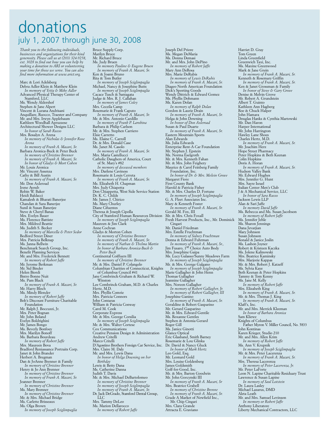### donations july 1, 2007 through june 30, 2008

*Thank you to the following individuals, businesses and organizations for their kind generosity. Please call us at (203) 324-9258,* ext. 3028 to find out how you can help hy<br>making a donation to ARI or volunteering<br>your time for those we serve. You can also<br>find more information at www.arict.org.

Marc & Lori Adelsberg Debra Adler-Klein & Matthew Klein *In memory of Yetta & Mike Adler* Advanced Physical Therapy Center of Stamford, LLC Ms. Wendy Aldershof Stephen & Jane Alpert Vincent & Lurana Andrisani Anquillare, Ruocco, Traester and Company Mr. and Mrs. Irwyn Applebaum Kathleen Woodhall Apruzzese Architectural Shower Designs LLC *In honor of Sarah Russo* Mrs. Rosalyn A. Arena *In memory of Nicholas & Jennifer Rose Arena In memory of Frank A. Macari, Sr.* Barbara Aronica-Buck & Peter Buck *In memory of Christine Brenner In memory of Frank A. Macari, Sr. In honor of Gladys & Mort Cohen* Mr. Louis Aronica Mr. Vincent Assenza Cathy & Bill Austin *In memory of Frank A. Macari, Sr.* Mr. Don Axleroad Irene Ayoub Robin W. Baker Heidi Baldacci Kamalesh & Bharati Banerjee Chandan & Sara Banerjee Sunil & Susan Banerjee Steve & Cheryl Banas Mrs. Evelyn Bauer Ms. Florence Battiste Mrs. Mildred Beattie Ms. Judith S. Becker *In memory of Marcella & Peter Sedor* Bedford Street Diner Mrs. Patricia Belknap Ms. Janna Bellwin Benchmark Search Group, Inc. Benefit Planning Services Mr. and Mrs. Frederick Bennett *In memory of Robert Jaffe* Mr. Jerome Berkman Mr. Sid Binder Helen Biordi Bistro Bonne Nuit Ms. Pam Black *In memory of Frank A. Macari, Sr.* Mr. Harry Bloch Ms. Mindy Blonder *In memory of Robert Jaffe* Bob's Discount Furniture Charitable Foundation Mr. Ralph J. Boccuzzi, Jr. Mrs. Peter Bognan Mr. John Boland Evelyn Boldrighini Mr. James Bongo Ms. Beverly Bonfoey Mrs. Marilyn Bonoff Ms. Barbara Bourdeau *In memory of Robert Jaffe* Mrs. Maureen Bova Bradford Reniassance Portraits Corp. Janet & John Brander Herbert A. Bregman Dan & JoAnne Brenner & Family *In memory of Christine Brenner* Henry & Jo Ann Brenner *In memory of Christine Brenner In memory of Frank A. Macari, Sr.* Jeanner Brenner *In memory of Christine Brenner* Ms. Mary Brenner *In memory of Christine Brenner* Mr. & Mrs. Michael Bridge Ms. Carlette Brisseaux Ms. Olga Brown

*In memory of Joseph Sciglimpaglia*

Bruce Supply Corp. Marilyn Bruce Mr. Richard Bruce Ms. Judy Bruen *In memory Pauline & Eugene Bruen In memory of Frank A. Macari, Sr.* Ken & Joann Bruno Rita & Tom Butler *In memory of Joseph Sciglimpaglia* Michael, Nancy & Josephine Butts *In memory of Joseph Sciglimpaglia* Cacace Tusch & Santagata Judge & Mrs. R. J. Callahan *In memory of James Coley* Mrs. Ceceila Camp Rosemarie & Frank Caputo *In memory of Frank A. Macari, Sr.* Mr. & Mrs. Antonio Cardillo *In memory of Frank P. Larobina* Barbara & Philip Carlson Mr. & Mrs. Stephen Carriero Elsie Carretto Ms. Elaine C. Carroll Dr. & Mrs. Donald Case Ms. Janet M. Casolo *In memory of Frank A. Macari, Sr.* Mrs. Maria Castellucci Catholic Daughers of America, Court of St. Mary's #82 *In memory of deceased members* Mrs. Darlene Caviness Rosemarie & Louis Cerreta *In memory of Frank A. Macari, Sr.* Ms. Elizabeth H. Chapman Mrs. Judy Chiapetta Don Chiappetta, West Side Service Station Dr. K. C. Childs Mr. James J. Chirico Ms. Mary Churley Diane Cifuentes Theresa & Joseph Cipolla City of Stamford Human Resources Division *In memory of Joseph Sciglimpaglia* Maureen & Jim Clark Anne Cochran Gladys & Morton Cohen *In memory of Christine Brenner In memory of Frank A. Macari, Sr. In memory of Nathan & Thelma Martin In honor of Barbara Aronica-Buck & Peter Buck* Continental Coiffuers III *In memory of Christine Brenner* Mr. & Mrs. Daniel P. Colangelo Columbian Charities of Connecticut, Knights of Columbus Council #41 Jane Combrinck-Graham & Richard W. Winston Lee Combrinck-Graham, M.D. & Charles Hertz, M.D. Mrs. Phyllis Comrie Mrs. Patricia Connors John Contaras William & Patricia Conway Carol M. Cook Corporate Express Mr. & Mrs. George Corsilia *In memory of Joseph Sciglimpaglia* Mr. & Mrs. Walter Cortese Cox Communications Creative Pension Design & Administration Andrew Critelli Marco Critelli D'Agostino Brothers Foreign Car Service, Inc. Mrs. Claire M. Daly Mr. and Mrs. Lewis Dana *In honor of Helga Downing on her Birthday* Lewis & Betty Dana Ms. Catherine Danna Judith T. Davis Mr. & Mrs. Michael DeBartolomeo *In memory of Christine Brenner In memory of Joseph Sciglimpaglia In memory of Frank A. Macari, Sr.* Dr. Jack DeGrado, Stamford Dental Group,  $\rm ^{7}LC$ Mrs. Tammy DeLeo Ms. Marion Dellarocco

*In memory of Robert Jaffe*

Joseph Del Priore Ms. Megan DeMaria Ms. Donna Demasi Mr. and Mrs. John DePino *In memory of Robert Jaffe* Mary Ann DeRosa Mrs. Marie DeRubis *In memory of Lewis DeRubis In memory of Frank A. Macari, Sr.* Diageo North American Foundation Dick's Sporting Goods Wendy Dittrich & Edward Gomez Ms. Phyllis Dohmann Ms. Karen Dolan *In memory of Ralph Dolan* Gordon & Laurie Drain *In memory of Frank A. Macari, Sr.* Helga & John Downing *In honor of Don Axleroad* Susan & Paul Duarte *In memory of Frank A. Macari, Sr.* Eastern Mountain Sports Alan Edwards Ms. Julia Edwards Enterprise Rent-A-Car Foundation Mr. Stephen J. Epstein Ms. Norma Eselgroth Mr. & Mrs. Kenneth Fahan Mr. & Mrs. John Feighery Maurice & Carol Feinberg Family Foundation, Inc. *In honor of Dr. & Mrs. Melvin Grove* Margaret Fiore First County Bank Harold & Patricia Fisher Mr. & Mrs. Charles D. Fortune *In memory of Joseph Sciglimpaglia* G. A. Fleet Associates Inc. Mary & Kenneth Foster *In memory of Frank A. Macari, Sr.* Gerald M. Fox, III Mr. & Mrs. Chris Foxall Fresh Harvest Products, Inc., Mr. Dominick Cingari Mr. Daniel Friedman Mrs. Estelle Fruchtman *In memory of Sidney Fruchtman* Donna & Edward Fuhrman *In memory of Frank A. Macari, Sr.,* Jim Fusaro, 1st Choice Auto Body Mrs. Josephine Gaipa Ms. Lucy Galasso/Sunny Meadows Farm *In memory of Joseph Sciglimpaglia* Mr. & Mrs. George Galgano *In memory of Joseph Sciglimpaglia* Marie Gallagher & John Henn Thomas Gallagher Jeannine Gallagher Mrs. Noreen Gallagher *In memory of Robert Gallagher, Jr. In memory of Robert Gallagher, III* Josephine Ganino *In memory of Frank A. Macari, Sr.* Geraldine & Robert Gasparino Mr. Gerard Gasparino Mr. & Mrs. Edward Gentile Ms. Roxanne Gentles Stephen & Antonia Gerard Roger Gill Ms. Janice Ginotti Glance Optical Eric Glasband, Smith Barney Rosemarie & Lou Glinka Dr. David & Nancy Gluck *In honor of Mark Hertz* Leo Gold, Esq. Mr. Leonard Gold Mrs. Louise Goldenberg James Goldsmith Golf-for-Good, Inc. Mr. & Mrs. Barton Goodwin Mr. John Gorcynski III *In memory of Frank A. Macari, Sr* Mrs. Beatrice Grabell *In memory of Christine Brenne In memory of Frank A. Macari, Sr.* Grade A Market of Newfield Inc., Mr. Chip Cingari Mrs. Clara Grande Attracta E. Graviano

Harriet D. Gray Tom Green Linda Greenfield Greenwich Taxi, Inc. Ms. Maxine Greenwood Mark & Jane Grein *In memory of Frank A. Macari, Sr.* Kenneth & Rosemary Griffin *In memory of Frank A. Macari, Sr.* Ken & Janet Grossman & Family *In honor of Steve & Gary Grove* Denise & Melvin Grove Mr. Robert A. Grundstein Albert T. Guinto Kathleen Ann Hagberg Roe & Chuck Halper John Hamara Douglas Hanks & Cynthia Martowski Mr. Dan Haron Harper International Mr. John Harrington Hawley Lane Shoes Charles Hertz, M.D. *In memory of Frank A. Macari, Sr.* Mr. Joachim Herz Hope Street Pharmacy Peter Hopkins & Beth Keenan Colin Hopkins Doris A. Horan *In memory of Frank A. Macari, Sr.* Hudson Valley Bank Mr. Edward Hughes Mrs. Jennifer G. Hunt Mrs. Sayre Israel Italian Center Men's Club J & A Mechanical Service, LLC *In honor of Sara Russo* Jackson Lewis LLP Alan & Sari Jaffe *In memory David Jaffe* Ms. Rebecca and Ms. Susan Jacobson *In memory of Robert Jaffe* Ms. Jennifer Jehle Ms. Sharon Jennings Dana Jevarjian Mary Johnson Susan Johnson Ronald & Janice Joslin Ms. Lashon Joyner Robert & Kristeen Kaczka Ms. Jolene Kalinowski Mrs. Beatrice Kaminsky Mrs. Marjorie Kappas Mr. & Mrs. Robert J. Katzeff Ms. Sylvia Kaye Beth Keenan & Peter Hopkins Tammy & Tom Kenny Ms. Jane M. Kelly *In memory of Robert Jaffe* Mrs. Elizabeth King *In memory of Frank A. Macari, Sr.* Mr. & Mrs. Thomas J. King *In memory of Frank A. Macari, Sr.* Klaff's, Inc. Mr. and Mrs. Merrick Kleeman *In honor of Barbara Aronica* Sam Kliewe Knights of Columbus Father Myron V. Miller Council, No. 5833 John Kontinas Karen Krieger, Studio 210 Mr. and Mrs. Allen Krim *In memory of Robert Jaffe* Ms. Ann V. Krupnik *In memory of Joseph Sciglimpaglia* Mr. & Mrs. Peter Lacerenza *In memory of Frank A. Macari, Sr.* Mrs. Theresa Lacerenza *In memory of Peter Lacerenza, Jr.* Mr. Peter LaForte Leon N. Lapine Charitable Residuary Trust Lawrence & Susan Lapine *In memory of Saul Lotstein* Dr. Laura Lasley Michael Lazarus, DMD Aleta Leath Mr. and Mrs. Samuel Levinson *In memory or Robert Jaffe* Anthony Liberatore Liberty Mechanical Contractors, LLC